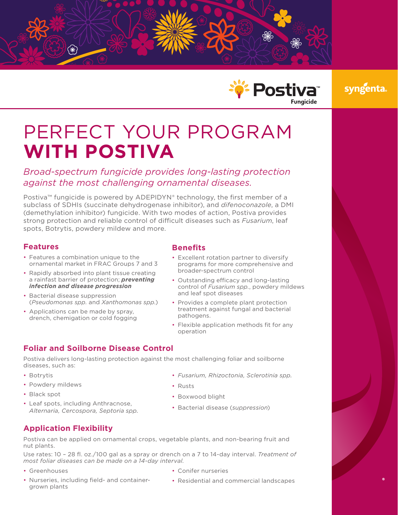



# syngenta

# PERFECT YOUR PROGRAM **WITH POSTIVA**

# *Broad-spectrum fungicide provides long-lasting protection against the most challenging ornamental diseases.*

Postiva™ fungicide is powered by ADEPIDYN® technology, the first member of a subclass of SDHIs (succinate dehydrogenase inhibitor), and *difenoconazole*, a DMI (demethylation inhibitor) fungicide. With two modes of action, Postiva provides strong protection and reliable control of difficult diseases such as *Fusarium*, leaf spots, Botrytis, powdery mildew and more.

#### **Features**

- Features a combination unique to the ornamental market in FRAC Groups 7 and 3
- Rapidly absorbed into plant tissue creating a rainfast barrier of protection; *preventing infection and disease progression*
- Bacterial disease suppression (*Pseudomonas spp.* and *Xanthomonas spp.*)
- Applications can be made by spray, drench, chemigation or cold fogging

#### **Benefits**

- Excellent rotation partner to diversify programs for more comprehensive and broader-spectrum control
- Outstanding efficacy and long-lasting control of *Fusarium spp.*, powdery mildews and leaf spot diseases
- Provides a complete plant protection treatment against fungal and bacterial pathogens.
- Flexible application methods fit for any operation

#### **Foliar and Soilborne Disease Control**

Postiva delivers long-lasting protection against the most challenging foliar and soilborne diseases, such as:

- Botrytis
- Powdery mildews
- Black spot
- Leaf spots, including Anthracnose, *Alternaria, Cercospora, Septoria spp.*
- *Fusarium, Rhizoctonia, Sclerotinia spp.*
- Rusts
- Boxwood blight
- Bacterial disease (*suppression*)

### **Application Flexibility**

Postiva can be applied on ornamental crops, vegetable plants, and non-bearing fruit and nut plants.

Use rates: 10 – 28 fl. oz./100 gal as a spray or drench on a 7 to 14-day interval. *Treatment of most foliar diseases can be made on a 14-day interval*.

- Greenhouses
- Nurseries, including field- and containergrown plants
- Conifer nurseries
- Residential and commercial landscapes